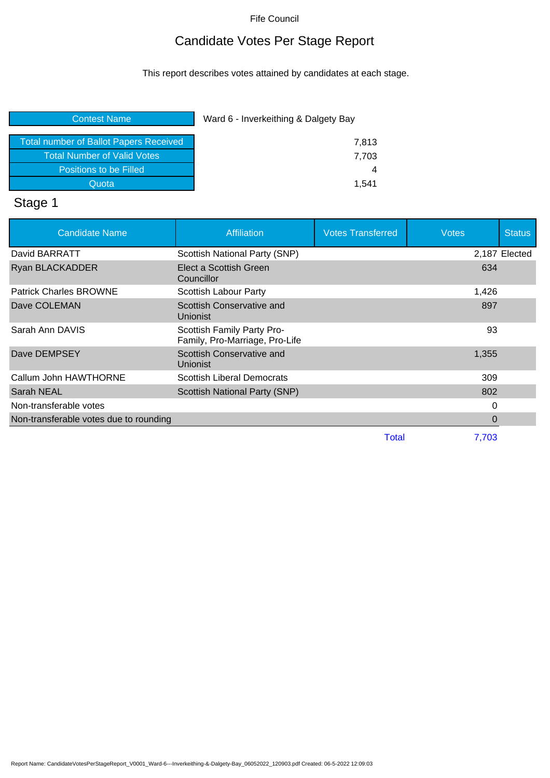# Candidate Votes Per Stage Report

This report describes votes attained by candidates at each stage.

| <b>Contest Name</b>                           | Ward 6 - Inverkeithing & Dalgety Bay |  |
|-----------------------------------------------|--------------------------------------|--|
|                                               |                                      |  |
| <b>Total number of Ballot Papers Received</b> | 7,813                                |  |
| <b>Total Number of Valid Votes</b>            | 7,703                                |  |
| Positions to be Filled                        |                                      |  |
| Quota                                         | 1.541                                |  |
| ⌒.                                            |                                      |  |

#### Stage 1

| <b>Candidate Name</b>                  | Affiliation                                                  | <b>Votes Transferred</b> | <b>Votes</b> | <b>Status</b> |
|----------------------------------------|--------------------------------------------------------------|--------------------------|--------------|---------------|
| David BARRATT                          | Scottish National Party (SNP)                                |                          |              | 2,187 Elected |
| Ryan BLACKADDER                        | Elect a Scottish Green<br>Councillor                         |                          | 634          |               |
| <b>Patrick Charles BROWNE</b>          | Scottish Labour Party                                        |                          | 1,426        |               |
| Dave COLEMAN                           | Scottish Conservative and<br>Unionist                        |                          | 897          |               |
| Sarah Ann DAVIS                        | Scottish Family Party Pro-<br>Family, Pro-Marriage, Pro-Life |                          | 93           |               |
| Dave DEMPSEY                           | Scottish Conservative and<br>Unionist                        |                          | 1,355        |               |
| Callum John HAWTHORNE                  | <b>Scottish Liberal Democrats</b>                            |                          | 309          |               |
| Sarah NEAL                             | <b>Scottish National Party (SNP)</b>                         |                          | 802          |               |
| Non-transferable votes                 |                                                              |                          | 0            |               |
| Non-transferable votes due to rounding |                                                              |                          | 0            |               |
|                                        |                                                              | Total                    | 7.703        |               |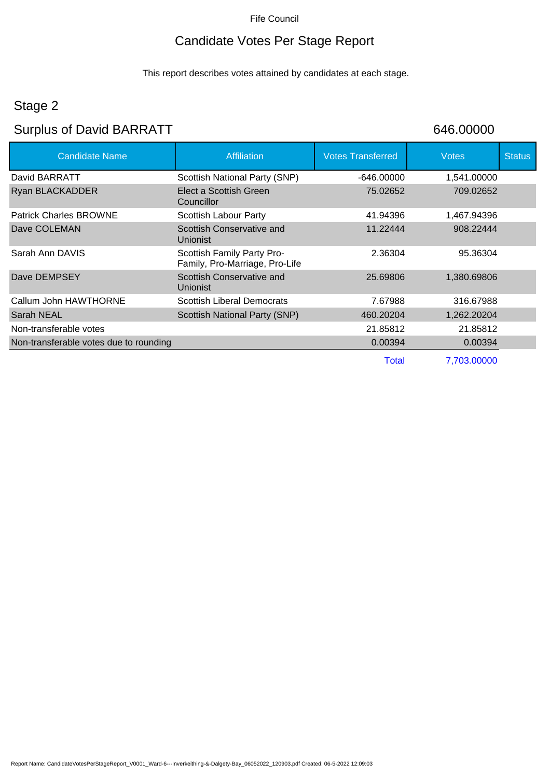# Candidate Votes Per Stage Report

This report describes votes attained by candidates at each stage.

# Stage 2

# Surplus of David BARRATT 646.00000

| <b>Candidate Name</b>                  | <b>Affiliation</b>                                           | <b>Votes Transferred</b> | <b>Votes</b>       | <b>Status</b> |
|----------------------------------------|--------------------------------------------------------------|--------------------------|--------------------|---------------|
| David BARRATT                          | Scottish National Party (SNP)                                | -646.00000               | 1,541.00000        |               |
| Ryan BLACKADDER                        | Elect a Scottish Green<br>Councillor                         | 75.02652                 | 709.02652          |               |
| <b>Patrick Charles BROWNE</b>          | Scottish Labour Party                                        | 41.94396                 | 1,467.94396        |               |
| Dave COLEMAN                           | Scottish Conservative and<br><b>Unionist</b>                 | 11.22444                 | 908.22444          |               |
| Sarah Ann DAVIS                        | Scottish Family Party Pro-<br>Family, Pro-Marriage, Pro-Life | 2.36304                  | 95.36304           |               |
| Dave DEMPSEY                           | Scottish Conservative and<br><b>Unionist</b>                 | 25.69806                 | 1,380.69806        |               |
| Callum John HAWTHORNE                  | <b>Scottish Liberal Democrats</b>                            | 7.67988                  | 316.67988          |               |
| Sarah NEAL                             | Scottish National Party (SNP)                                | 460.20204                | 1,262.20204        |               |
| Non-transferable votes                 |                                                              | 21.85812                 | 21.85812           |               |
| Non-transferable votes due to rounding |                                                              | 0.00394                  | 0.00394            |               |
|                                        |                                                              | T <sub>ofol</sub>        | <u>z zna nnnnn</u> |               |

Total 7,703.00000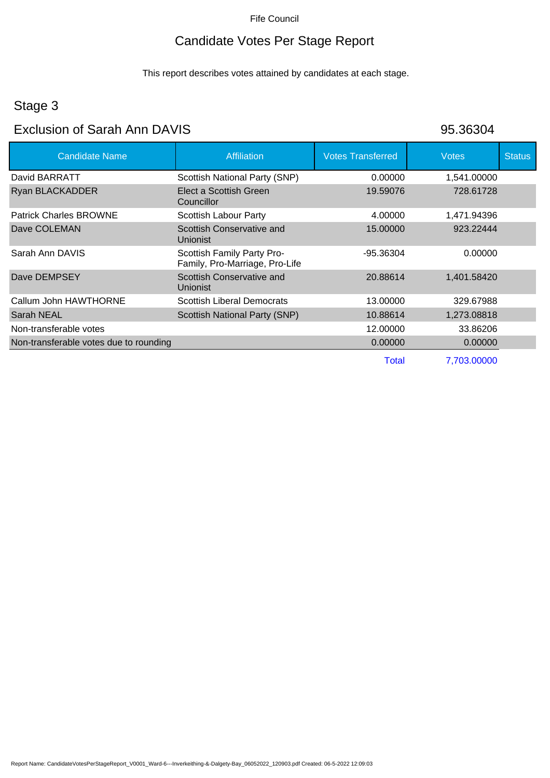#### Candidate Votes Per Stage Report

This report describes votes attained by candidates at each stage.

#### Stage 3

#### Exclusion of Sarah Ann DAVIS 95.36304

Candidate Name **Affiliation** Affiliation Votes Transferred Votes Votes Status David BARRATT Scottish National Party (SNP) 0.00000 1,541.00000 Ryan BLACKADDER Elect a Scottish Green **Councillor** 19.59076 728.61728 Patrick Charles BROWNE Scottish Labour Party 1.400000 1.471.94396 Dave COLEMAN Scottish Conservative and Unionist 15.00000 923.22444 Sarah Ann DAVIS Scottish Family Party Pro-Family, Pro-Marriage, Pro-Life -95.36304 0.00000 Dave DEMPSEY Scottish Conservative and Unionist 20.88614 1,401.58420 Callum John HAWTHORNE Scottish Liberal Democrats 13.00000 329.67988 Sarah NEAL Scottish National Party (SNP) 10.88614 1,273.08818 Non-transferable votes 12.00000 33.86206 Non-transferable votes due to rounding 0.00000 0.00000 0.00000 0.00000 0.00000 Total 7,703.00000

Report Name: CandidateVotesPerStageReport\_V0001\_Ward-6---Inverkeithing-&-Dalgety-Bay\_06052022\_120903.pdf Created: 06-5-2022 12:09:03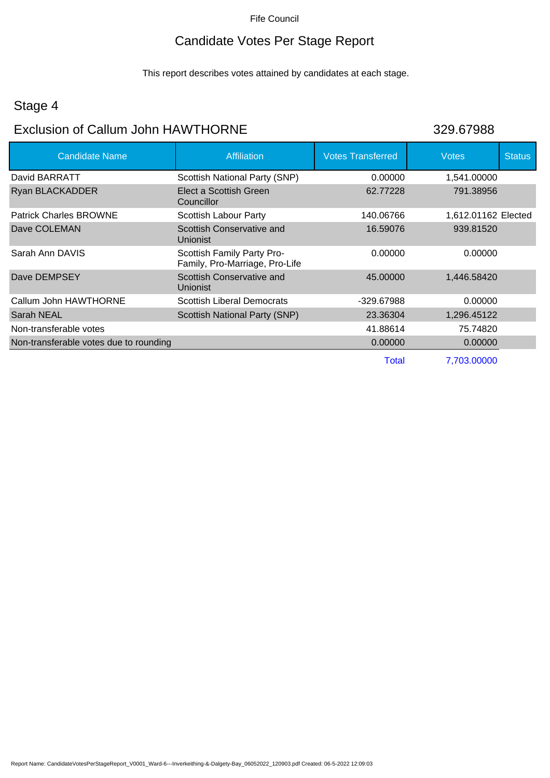# Candidate Votes Per Stage Report

This report describes votes attained by candidates at each stage.

# Stage 4

#### Exclusion of Callum John HAWTHORNE 329.67988

| <b>Candidate Name</b>                  | Affiliation                                                  | <b>Votes Transferred</b> | <b>Votes</b>        | <b>Status</b> |
|----------------------------------------|--------------------------------------------------------------|--------------------------|---------------------|---------------|
| David BARRATT                          | Scottish National Party (SNP)                                | 0.00000                  | 1,541.00000         |               |
| <b>Ryan BLACKADDER</b>                 | Elect a Scottish Green<br>Councillor                         | 62.77228                 | 791.38956           |               |
| <b>Patrick Charles BROWNE</b>          | Scottish Labour Party                                        | 140.06766                | 1,612.01162 Elected |               |
| Dave COLEMAN                           | Scottish Conservative and<br>Unionist                        | 16.59076                 | 939.81520           |               |
| Sarah Ann DAVIS                        | Scottish Family Party Pro-<br>Family, Pro-Marriage, Pro-Life | 0.00000                  | 0.00000             |               |
| Dave DEMPSEY                           | Scottish Conservative and<br><b>Unionist</b>                 | 45,00000                 | 1,446.58420         |               |
| Callum John HAWTHORNE                  | <b>Scottish Liberal Democrats</b>                            | -329.67988               | 0.00000             |               |
| Sarah NEAL                             | Scottish National Party (SNP)                                | 23.36304                 | 1,296.45122         |               |
| Non-transferable votes                 |                                                              | 41.88614                 | 75.74820            |               |
| Non-transferable votes due to rounding |                                                              | 0.00000                  | 0.00000             |               |
|                                        |                                                              | Total                    | <u>z zus uuuu</u>   |               |

Total 7,703.00000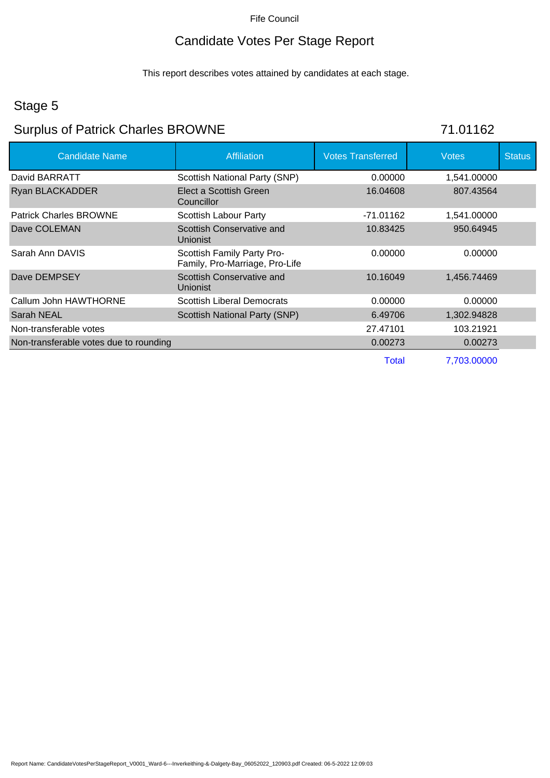# Candidate Votes Per Stage Report

This report describes votes attained by candidates at each stage.

# Stage 5

# Surplus of Patrick Charles BROWNE 71.01162

| <b>Candidate Name</b>                  | <b>Affiliation</b>                                           | <b>Votes Transferred</b> | <b>Votes</b> | <b>Status</b> |
|----------------------------------------|--------------------------------------------------------------|--------------------------|--------------|---------------|
| David BARRATT                          | Scottish National Party (SNP)                                | 0.00000                  | 1,541.00000  |               |
| Ryan BLACKADDER                        | Elect a Scottish Green<br>Councillor                         | 16.04608                 | 807.43564    |               |
| <b>Patrick Charles BROWNE</b>          | Scottish Labour Party                                        | -71.01162                | 1,541.00000  |               |
| Dave COLEMAN                           | Scottish Conservative and<br>Unionist                        | 10.83425                 | 950.64945    |               |
| Sarah Ann DAVIS                        | Scottish Family Party Pro-<br>Family, Pro-Marriage, Pro-Life | 0.00000                  | 0.00000      |               |
| Dave DEMPSEY                           | Scottish Conservative and<br>Unionist                        | 10.16049                 | 1,456.74469  |               |
| Callum John HAWTHORNE                  | <b>Scottish Liberal Democrats</b>                            | 0.00000                  | 0.00000      |               |
| Sarah NEAL                             | Scottish National Party (SNP)                                | 6.49706                  | 1,302.94828  |               |
| Non-transferable votes                 |                                                              | 27.47101                 | 103.21921    |               |
| Non-transferable votes due to rounding |                                                              | 0.00273                  | 0.00273      |               |
|                                        |                                                              | Total                    | 7,703.00000  |               |

Report Name: CandidateVotesPerStageReport\_V0001\_Ward-6---Inverkeithing-&-Dalgety-Bay\_06052022\_120903.pdf Created: 06-5-2022 12:09:03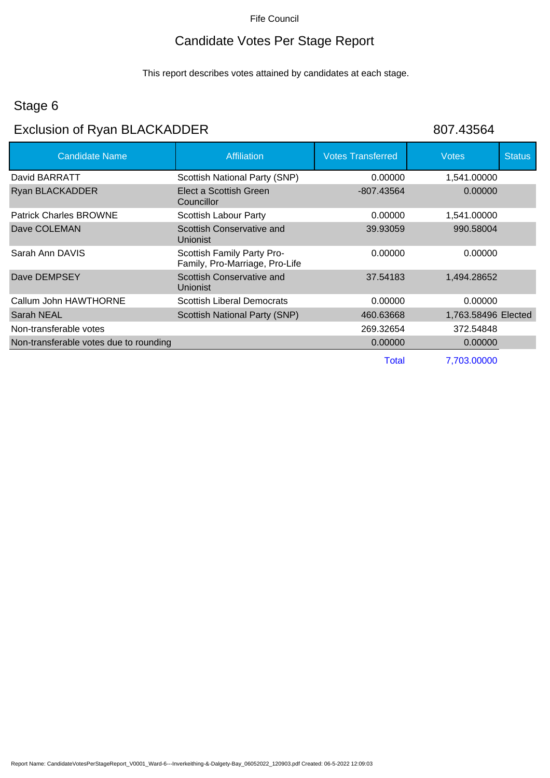# Candidate Votes Per Stage Report

This report describes votes attained by candidates at each stage.

#### Stage 6

# Exclusion of Ryan BLACKADDER 807.43564

| <b>Candidate Name</b>                  | Affiliation                                                  | <b>Votes Transferred</b> | <b>Votes</b>        | <b>Status</b> |
|----------------------------------------|--------------------------------------------------------------|--------------------------|---------------------|---------------|
| David BARRATT                          | Scottish National Party (SNP)                                | 0.00000                  | 1,541.00000         |               |
| Ryan BLACKADDER                        | Elect a Scottish Green<br>Councillor                         | $-807.43564$             | 0.00000             |               |
| <b>Patrick Charles BROWNE</b>          | Scottish Labour Party                                        | 0.00000                  | 1,541.00000         |               |
| Dave COLEMAN                           | Scottish Conservative and<br><b>Unionist</b>                 | 39.93059                 | 990.58004           |               |
| Sarah Ann DAVIS                        | Scottish Family Party Pro-<br>Family, Pro-Marriage, Pro-Life | 0.00000                  | 0.00000             |               |
| Dave DEMPSEY                           | Scottish Conservative and<br><b>Unionist</b>                 | 37.54183                 | 1,494.28652         |               |
| Callum John HAWTHORNE                  | <b>Scottish Liberal Democrats</b>                            | 0.00000                  | 0.00000             |               |
| Sarah NEAL                             | Scottish National Party (SNP)                                | 460.63668                | 1,763.58496 Elected |               |
| Non-transferable votes                 |                                                              | 269.32654                | 372.54848           |               |
| Non-transferable votes due to rounding |                                                              | 0.00000                  | 0.00000             |               |
|                                        |                                                              | Total                    | 7,703.00000         |               |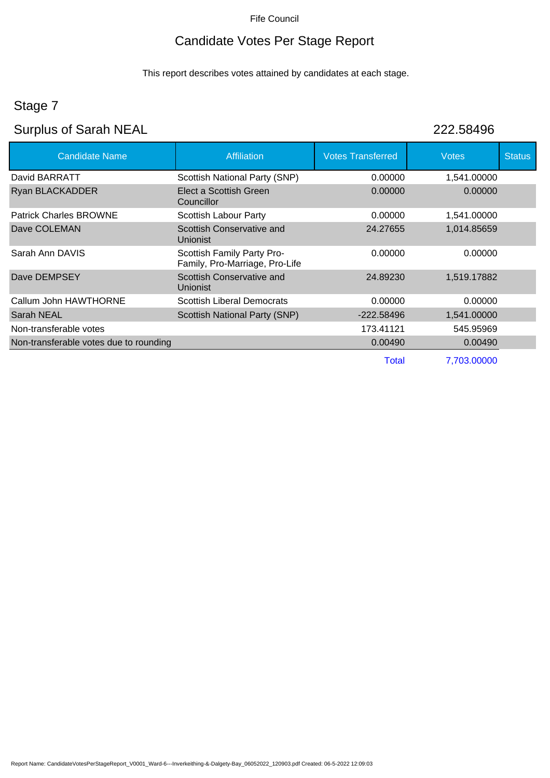# Candidate Votes Per Stage Report

This report describes votes attained by candidates at each stage.

# Stage 7

# Surplus of Sarah NEAL 222.58496

| <b>Candidate Name</b>                  | <b>Affiliation</b>                                           | <b>Votes Transferred</b> | <b>Votes</b> | <b>Status</b> |
|----------------------------------------|--------------------------------------------------------------|--------------------------|--------------|---------------|
| David BARRATT                          | Scottish National Party (SNP)                                | 0.00000                  | 1,541.00000  |               |
| Ryan BLACKADDER                        | Elect a Scottish Green<br>Councillor                         | 0.00000                  | 0.00000      |               |
| <b>Patrick Charles BROWNE</b>          | Scottish Labour Party                                        | 0.00000                  | 1,541.00000  |               |
| Dave COLEMAN                           | Scottish Conservative and<br>Unionist                        | 24.27655                 | 1,014.85659  |               |
| Sarah Ann DAVIS                        | Scottish Family Party Pro-<br>Family, Pro-Marriage, Pro-Life | 0.00000                  | 0.00000      |               |
| Dave DEMPSEY                           | Scottish Conservative and<br>Unionist                        | 24.89230                 | 1,519.17882  |               |
| Callum John HAWTHORNE                  | <b>Scottish Liberal Democrats</b>                            | 0.00000                  | 0.00000      |               |
| Sarah NEAL                             | Scottish National Party (SNP)                                | $-222.58496$             | 1,541.00000  |               |
| Non-transferable votes                 |                                                              | 173.41121                | 545.95969    |               |
| Non-transferable votes due to rounding |                                                              | 0.00490                  | 0.00490      |               |
|                                        |                                                              | Total                    | 7,703.00000  |               |